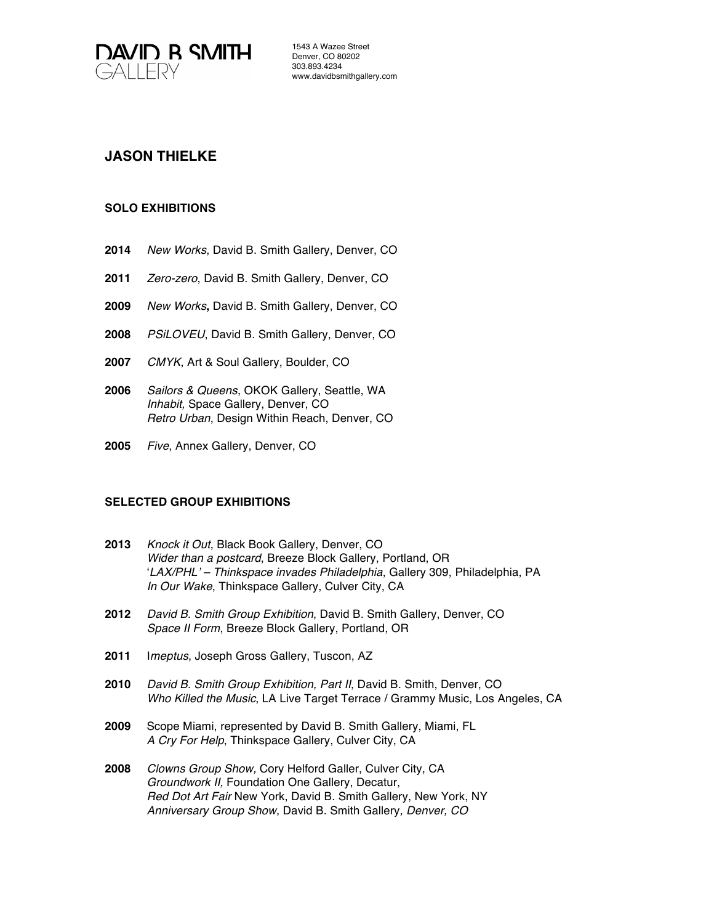

1543 A Wazee Street Denver, CO 80202 303.893.4234 www.davidbsmithgallery.com

# **JASON THIELKE**

# **SOLO EXHIBITIONS**

- **2014** *New Works*, David B. Smith Gallery, Denver, CO
- **2011** *Zero-zero*, David B. Smith Gallery, Denver, CO
- **2009** *New Works***,** David B. Smith Gallery, Denver, CO
- **2008** *PSiLOVEU*, David B. Smith Gallery, Denver, CO
- **2007** *CMYK*, Art & Soul Gallery, Boulder, CO
- **2006** *Sailors & Queens*, OKOK Gallery, Seattle, WA *Inhabit,* Space Gallery, Denver, CO *Retro Urban*, Design Within Reach, Denver, CO
- **2005** *Five*, Annex Gallery, Denver, CO

#### **SELECTED GROUP EXHIBITIONS**

- **2013** *Knock it Out*, Black Book Gallery, Denver, CO *Wider than a postcard*, Breeze Block Gallery, Portland, OR '*LAX/PHL' – Thinkspace invades Philadelphia*, Gallery 309, Philadelphia, PA *In Our Wake*, Thinkspace Gallery, Culver City, CA
- **2012** *David B. Smith Group Exhibition*, David B. Smith Gallery, Denver, CO *Space II Form*, Breeze Block Gallery, Portland, OR
- **2011** I*meptus*, Joseph Gross Gallery, Tuscon, AZ
- **2010** *David B. Smith Group Exhibition, Part II*, David B. Smith, Denver, CO *Who Killed the Music*, LA Live Target Terrace / Grammy Music, Los Angeles, CA
- **2009** Scope Miami, represented by David B. Smith Gallery, Miami, FL *A Cry For Help*, Thinkspace Gallery, Culver City, CA
- **2008** *Clowns Group Show,* Cory Helford Galler, Culver City, CA *Groundwork II,* Foundation One Gallery, Decatur, *Red Dot Art Fair* New York, David B. Smith Gallery, New York, NY *Anniversary Group Show*, David B. Smith Gallery*, Denver, CO*